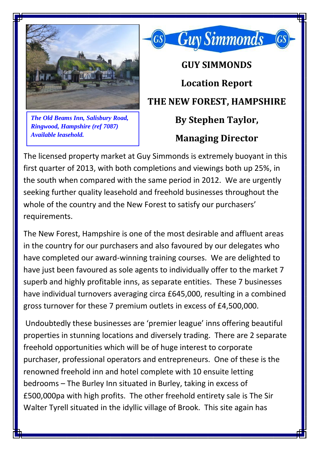

*The Old Beams Inn, Salisbury Road, Ringwood, Hampshire (ref 7087) Available leasehold.*

## **GUY SIMMONDS Location Report THE NEW FOREST, HAMPSHIRE By Stephen Taylor, Managing Director**

**Guy Simmonds** 

The licensed property market at Guy Simmonds is extremely buoyant in this first quarter of 2013, with both completions and viewings both up 25%, in the south when compared with the same period in 2012. We are urgently seeking further quality leasehold and freehold businesses throughout the whole of the country and the New Forest to satisfy our purchasers' requirements.

The New Forest, Hampshire is one of the most desirable and affluent areas in the country for our purchasers and also favoured by our delegates who have completed our award-winning training courses. We are delighted to have just been favoured as sole agents to individually offer to the market 7 superb and highly profitable inns, as separate entities. These 7 businesses have individual turnovers averaging circa £645,000, resulting in a combined gross turnover for these 7 premium outlets in excess of £4,500,000.

Undoubtedly these businesses are 'premier league' inns offering beautiful properties in stunning locations and diversely trading. There are 2 separate freehold opportunities which will be of huge interest to corporate purchaser, professional operators and entrepreneurs. One of these is the renowned freehold inn and hotel complete with 10 ensuite letting bedrooms – The Burley Inn situated in Burley, taking in excess of £500,000pa with high profits. The other freehold entirety sale is The Sir Walter Tyrell situated in the idyllic village of Brook. This site again has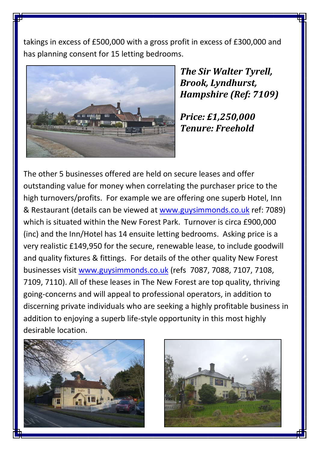takings in excess of £500,000 with a gross profit in excess of £300,000 and has planning consent for 15 letting bedrooms.



*The Sir Walter Tyrell, Brook, Lyndhurst, Hampshire (Ref: 7109)*

*Price: £1,250,000 Tenure: Freehold*

The other 5 businesses offered are held on secure leases and offer outstanding value for money when correlating the purchaser price to the high turnovers/profits. For example we are offering one superb Hotel, Inn & Restaurant (details can be viewed at [www.guysimmonds.co.uk](http://www.guysimmonds.co.uk/) ref: 7089) which is situated within the New Forest Park. Turnover is circa £900,000 (inc) and the Inn/Hotel has 14 ensuite letting bedrooms. Asking price is a very realistic £149,950 for the secure, renewable lease, to include goodwill and quality fixtures & fittings. For details of the other quality New Forest businesses visit [www.guysimmonds.co.uk](http://www.guysimmonds.co.uk/) (refs 7087, 7088, 7107, 7108, 7109, 7110). All of these leases in The New Forest are top quality, thriving going-concerns and will appeal to professional operators, in addition to discerning private individuals who are seeking a highly profitable business in addition to enjoying a superb life-style opportunity in this most highly desirable location.